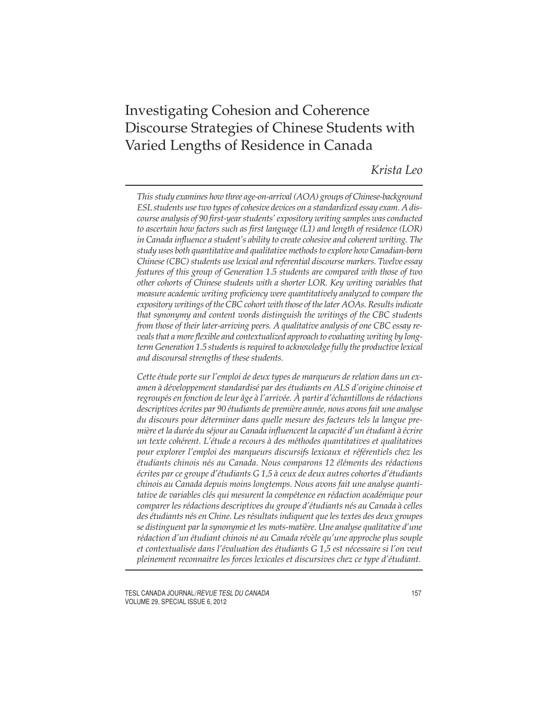# Investigating Cohesion and Coherence Discourse Strategies of Chinese Students with Varied Lengths of Residence in Canada

# *Krista Leo*

*This study examines how three age-on-arrival (AOA) groups of Chinese-background ESL students use two types of cohesive devices on a standardized essay exam. A discourse analysis of 90 first-year students' expository writing samples was conducted to ascertain how factors such as first language (L1) and length of residence (LOR) in Canada influence a student's ability to create cohesive and coherent writing. The study uses both quantitative and qualitative methods to explore how Canadian-born Chinese (CBC) students use lexical and referential discourse markers. Twelve essay features of this group of Generation 1.5 students are compared with those of two other cohorts of Chinese students with a shorter LOR. Key writing variables that measure academic writing proficiency were quantitatively analyzed to compare the expository writings of the CBC cohort with those of the later AOAs. Results indicate that synonymy and content words distinguish the writings of the CBC students from those of their later-arriving peers. A qualitative analysis of one CBC essay reveals that a more flexible and contextualized approach to evaluating writing by longterm Generation 1.5 students is required to acknowledge fully the productive lexical and discoursal strengths of these students.*

*Cette étude porte sur l'emploi de deux types de marqueurs de relation dans un examen à développement standardisé par des étudiants en ALS d'origine chinoise et regroupés en fonction de leur âge à l'arrivée. À partir d'échantillons de rédactions descriptives écrites par 90 étudiants de première année, nous avons fait une analyse du discours pour déterminer dans quelle mesure des facteurs tels la langue première et la durée du séjour au Canada influencent la capacité d'un étudiant à écrire un texte cohérent. L'étude a recours à des méthodes quantitatives et qualitatives pour explorer l'emploi des marqueurs discursifs lexicaux et référentiels chez les étudiants chinois nés au Canada. Nous comparons 12 éléments des rédactions écrites par ce groupe d'étudiants G 1,5 à ceux de deux autres cohortes d'étudiants chinois au Canada depuis moins longtemps. Nous avons fait une analyse quantitative de variables clés qui mesurent la compétence en rédaction académique pour comparer les rédactions descriptives du groupe d'étudiants nés au Canada à celles des étudiants nés en Chine. Les résultats indiquent que les textes des deux groupes se distinguent par la synonymie et les mots-matière. Une analyse qualitative d'une rédaction d'un étudiant chinois né au Canada révèle qu'une approche plus souple et contextualisée dans l'évaluation des étudiants G 1,5 est nécessaire si l'on veut pleinement reconnaitre les forces lexicales et discursives chez ce type d'étudiant.*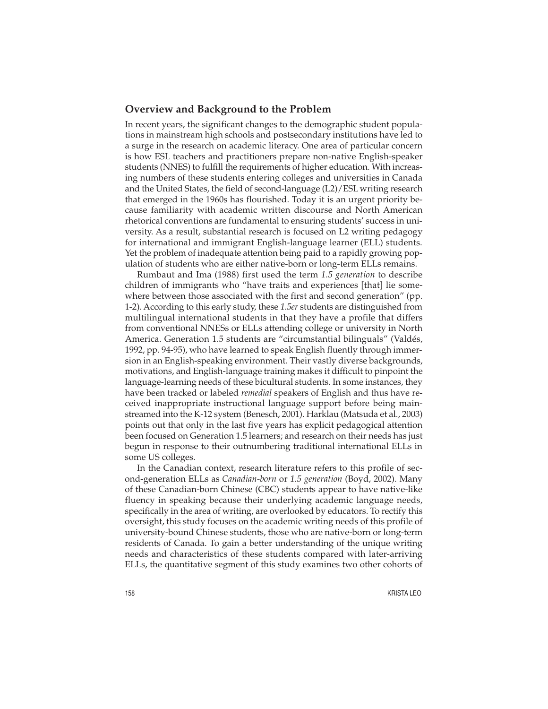### **Overview and Background to the Problem**

In recent years, the significant changes to the demographic student populations in mainstream high schools and postsecondary institutions have led to a surge in the research on academic literacy. One area of particular concern is how ESL teachers and practitioners prepare non-native English-speaker students (NNES) to fulfill the requirements of higher education. With increasing numbers of these students entering colleges and universities in Canada and the United States, the field of second-language (L2)/ESL writing research that emerged in the 1960s has flourished. Today it is an urgent priority because familiarity with academic written discourse and North American rhetorical conventions are fundamental to ensuring students' success in university. As a result, substantial research is focused on L2 writing pedagogy for international and immigrant English-language learner (ELL) students. Yet the problem of inadequate attention being paid to a rapidly growing population of students who are either native-born or long-term ELLs remains.

Rumbaut and Ima (1988) first used the term *1.5 generation* to describe children of immigrants who "have traits and experiences [that] lie somewhere between those associated with the first and second generation" (pp. 1-2). According to this early study, these *1.5er* students are distinguished from multilingual international students in that they have a profile that differs from conventional NNESs or ELLs attending college or university in North America. Generation 1.5 students are "circumstantial bilinguals" (Valdés, 1992, pp. 94-95), who have learned to speak English fluently through immersion in an English-speaking environment. Their vastly diverse backgrounds, motivations, and English-language training makes it difficult to pinpoint the language-learning needs of these bicultural students. In some instances, they have been tracked or labeled *remedial* speakers of English and thus have received inappropriate instructional language support before being mainstreamed into the K-12 system (Benesch, 2001). Harklau (Matsuda et al., 2003) points out that only in the last five years has explicit pedagogical attention been focused on Generation 1.5 learners; and research on their needs has just begun in response to their outnumbering traditional international ELLs in some US colleges.

In the Canadian context, research literature refers to this profile of second-generation ELLs as *Canadian-born* or *1.5 generation* (Boyd, 2002). Many of these Canadian-born Chinese (CBC) students appear to have native-like fluency in speaking because their underlying academic language needs, specifically in the area of writing, are overlooked by educators. To rectify this oversight, this study focuses on the academic writing needs of this profile of university-bound Chinese students, those who are native-born or long-term residents of Canada. To gain a better understanding of the unique writing needs and characteristics of these students compared with later-arriving ELLs, the quantitative segment of this study examines two other cohorts of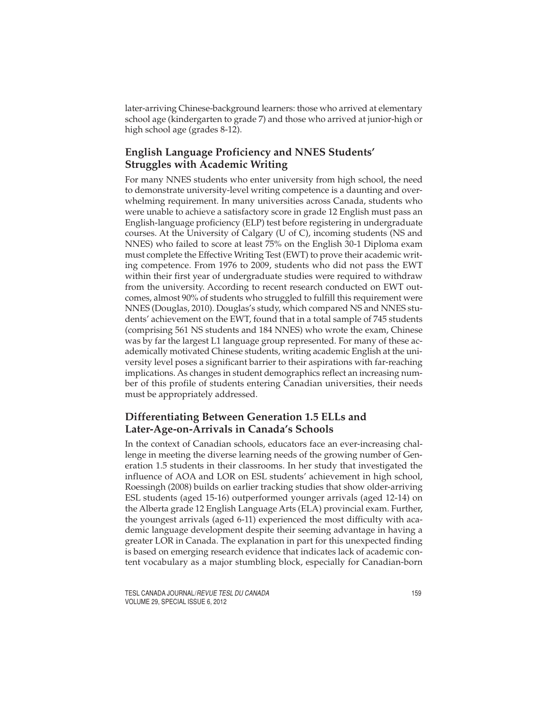later-arriving Chinese-background learners: those who arrived at elementary school age (kindergarten to grade 7) and those who arrived at junior-high or high school age (grades 8-12).

## **English Language Proficiency and NNES Students' Struggles with Academic Writing**

For many NNES students who enter university from high school, the need to demonstrate university-level writing competence is a daunting and overwhelming requirement. In many universities across Canada, students who were unable to achieve a satisfactory score in grade 12 English must pass an English-language proficiency (ELP) test before registering in undergraduate courses. At the University of Calgary (U of C), incoming students (NS and NNES) who failed to score at least 75% on the English 30-1 Diploma exam must complete the Effective Writing Test (EWT) to prove their academic writing competence. From 1976 to 2009, students who did not pass the EWT within their first year of undergraduate studies were required to withdraw from the university. According to recent research conducted on EWT outcomes, almost 90% of students who struggled to fulfill this requirement were NNES (Douglas, 2010). Douglas's study, which compared NS and NNES students' achievement on the EWT, found that in a total sample of 745 students (comprising 561 NS students and 184 NNES) who wrote the exam, Chinese was by far the largest L1 language group represented. For many of these academically motivated Chinese students, writing academic English at the university level poses a significant barrier to their aspirations with far-reaching implications. As changes in student demographics reflect an increasing number of this profile of students entering Canadian universities, their needs must be appropriately addressed.

### **Differentiating Between Generation 1.5 ELLs and Later-Age-on-Arrivals in Canada's Schools**

In the context of Canadian schools, educators face an ever-increasing challenge in meeting the diverse learning needs of the growing number of Generation 1.5 students in their classrooms. In her study that investigated the influence of AOA and LOR on ESL students' achievement in high school, Roessingh (2008) builds on earlier tracking studies that show older-arriving ESL students (aged 15-16) outperformed younger arrivals (aged 12-14) on the Alberta grade 12 English Language Arts (ELA) provincial exam. Further, the youngest arrivals (aged 6-11) experienced the most difficulty with academic language development despite their seeming advantage in having a greater LOR in Canada. The explanation in part for this unexpected finding is based on emerging research evidence that indicates lack of academic content vocabulary as a major stumbling block, especially for Canadian-born

TESL CANADA JOURNAL/REVUE TESL DU CANADA 159 VOLUME 29, SPECIAL ISSUE 6, 2012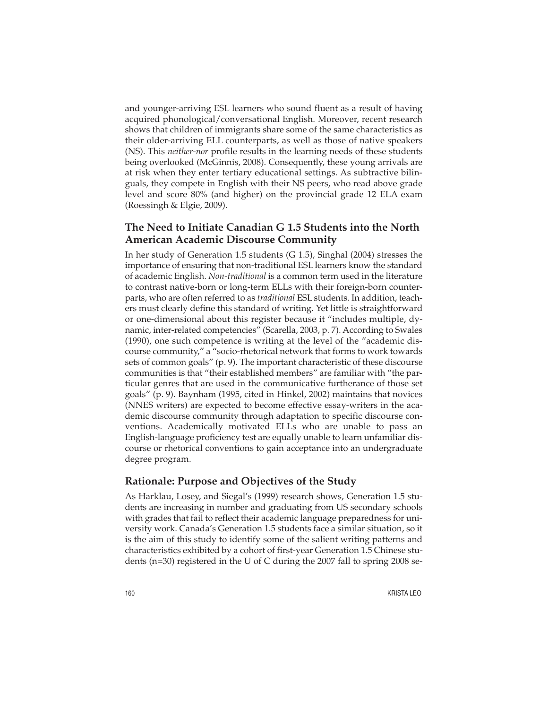and younger-arriving ESL learners who sound fluent as a result of having acquired phonological/conversational English. Moreover, recent research shows that children of immigrants share some of the same characteristics as their older-arriving ELL counterparts, as well as those of native speakers (NS). This *neither-nor* profile results in the learning needs of these students being overlooked (McGinnis, 2008). Consequently, these young arrivals are at risk when they enter tertiary educational settings. As subtractive bilinguals, they compete in English with their NS peers, who read above grade level and score 80% (and higher) on the provincial grade 12 ELA exam (Roessingh & Elgie, 2009).

### **The Need to Initiate Canadian G 1.5 Students into the North American Academic Discourse Community**

In her study of Generation 1.5 students (G 1.5), Singhal (2004) stresses the importance of ensuring that non-traditional ESL learners know the standard of academic English. *Non-traditional* is a common term used in the literature to contrast native-born or long-term ELLs with their foreign-born counterparts, who are often referred to as *traditional* ESL students. In addition, teachers must clearly define this standard of writing. Yet little is straightforward or one-dimensional about this register because it "includes multiple, dynamic, inter-related competencies" (Scarella, 2003, p. 7). According to Swales (1990), one such competence is writing at the level of the "academic discourse community," a "socio-rhetorical network that forms to work towards sets of common goals" (p. 9). The important characteristic of these discourse communities is that "their established members" are familiar with "the particular genres that are used in the communicative furtherance of those set goals" (p. 9). Baynham (1995, cited in Hinkel, 2002) maintains that novices (NNES writers) are expected to become effective essay-writers in the academic discourse community through adaptation to specific discourse conventions. Academically motivated ELLs who are unable to pass an English-language proficiency test are equally unable to learn unfamiliar discourse or rhetorical conventions to gain acceptance into an undergraduate degree program.

### **Rationale: Purpose and Objectives of the Study**

As Harklau, Losey, and Siegal's (1999) research shows, Generation 1.5 students are increasing in number and graduating from US secondary schools with grades that fail to reflect their academic language preparedness for university work. Canada's Generation 1.5 students face a similar situation, so it is the aim of this study to identify some of the salient writing patterns and characteristics exhibited by a cohort of first-year Generation 1.5 Chinese students (n=30) registered in the U of C during the 2007 fall to spring 2008 se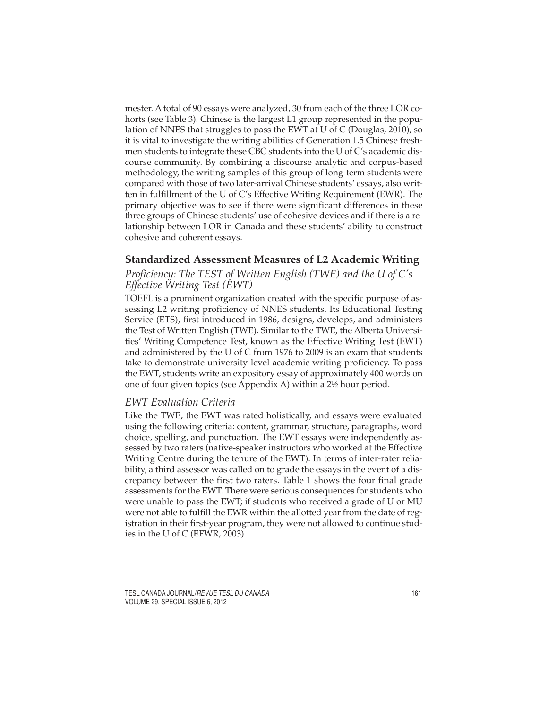mester. A total of 90 essays were analyzed, 30 from each of the three LOR cohorts (see Table 3). Chinese is the largest L1 group represented in the population of NNES that struggles to pass the EWT at U of C (Douglas, 2010), so it is vital to investigate the writing abilities of Generation 1.5 Chinese freshmen students to integrate these CBC students into the U of C's academic discourse community. By combining a discourse analytic and corpus-based methodology, the writing samples of this group of long-term students were compared with those of two later-arrival Chinese students' essays, also written in fulfillment of the U of C's Effective Writing Requirement (EWR). The primary objective was to see if there were significant differences in these three groups of Chinese students' use of cohesive devices and if there is a relationship between LOR in Canada and these students' ability to construct cohesive and coherent essays.

#### **Standardized Assessment Measures of L2 Academic Writing**

### *Proficiency: The TEST of Written English (TWE) and the U of C's Effective Writing Test (EWT)*

TOEFL is a prominent organization created with the specific purpose of assessing L2 writing proficiency of NNES students. Its Educational Testing Service (ETS), first introduced in 1986, designs, develops, and administers the Test of Written English (TWE). Similar to the TWE, the Alberta Universities' Writing Competence Test, known as the Effective Writing Test (EWT) and administered by the U of C from 1976 to 2009 is an exam that students take to demonstrate university-level academic writing proficiency. To pass the EWT, students write an expository essay of approximately 400 words on one of four given topics (see Appendix A) within a 2½ hour period.

#### *EWT Evaluation Criteria*

Like the TWE, the EWT was rated holistically, and essays were evaluated using the following criteria: content, grammar, structure, paragraphs, word choice, spelling, and punctuation. The EWT essays were independently assessed by two raters (native-speaker instructors who worked at the Effective Writing Centre during the tenure of the EWT). In terms of inter-rater reliability, a third assessor was called on to grade the essays in the event of a discrepancy between the first two raters. Table 1 shows the four final grade assessments for the EWT. There were serious consequences for students who were unable to pass the EWT; if students who received a grade of U or MU were not able to fulfill the EWR within the allotted year from the date of registration in their first-year program, they were not allowed to continue studies in the U of C (EFWR, 2003).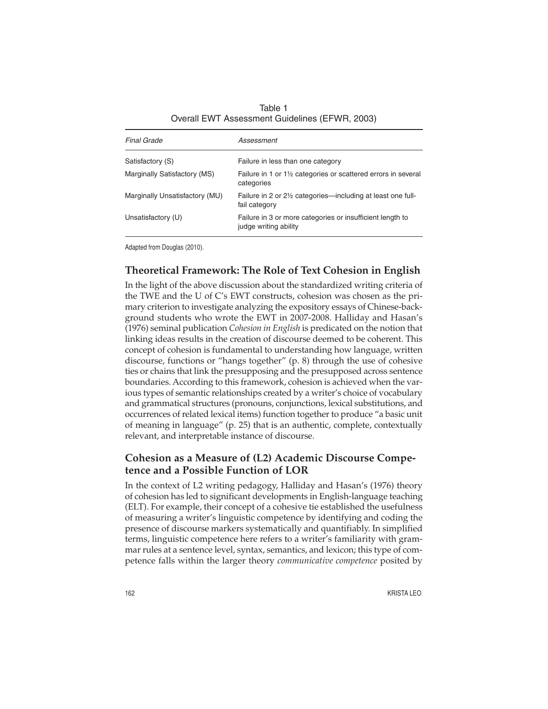Table 1 Overall EWT Assessment Guidelines (EFWR, 2003)

| <b>Final Grade</b>             | Assessment                                                                                |
|--------------------------------|-------------------------------------------------------------------------------------------|
| Satisfactory (S)               | Failure in less than one category                                                         |
| Marginally Satisfactory (MS)   | Failure in 1 or 1 <sup>1/2</sup> categories or scattered errors in several<br>categories  |
| Marginally Unsatisfactory (MU) | Failure in 2 or 2 <sup>1/2</sup> categories—including at least one full-<br>fail category |
| Unsatisfactory (U)             | Failure in 3 or more categories or insufficient length to<br>judge writing ability        |

Adapted from Douglas (2010).

### **Theoretical Framework: The Role of Text Cohesion in English**

In the light of the above discussion about the standardized writing criteria of the TWE and the U of C's EWT constructs, cohesion was chosen as the primary criterion to investigate analyzing the expository essays of Chinese-background students who wrote the EWT in 2007-2008. Halliday and Hasan's (1976) seminal publication *Cohesion in English* is predicated on the notion that linking ideas results in the creation of discourse deemed to be coherent. This concept of cohesion is fundamental to understanding how language, written discourse, functions or "hangs together" (p. 8) through the use of cohesive ties or chains that link the presupposing and the presupposed across sentence boundaries. According to this framework, cohesion is achieved when the various types of semantic relationships created by a writer's choice of vocabulary and grammatical structures (pronouns, conjunctions, lexical substitutions, and occurrences of related lexical items) function together to produce "a basic unit of meaning in language" (p. 25) that is an authentic, complete, contextually relevant, and interpretable instance of discourse.

### **Cohesion as a Measure of (L2) Academic Discourse Competence and a Possible Function of LOR**

In the context of L2 writing pedagogy, Halliday and Hasan's (1976) theory of cohesion has led to significant developments in English-language teaching (ELT). For example, their concept of a cohesive tie established the usefulness of measuring a writer's linguistic competence by identifying and coding the presence of discourse markers systematically and quantifiably. In simplified terms, linguistic competence here refers to a writer's familiarity with grammar rules at a sentence level, syntax, semantics, and lexicon; this type of competence falls within the larger theory *communicative competence* posited by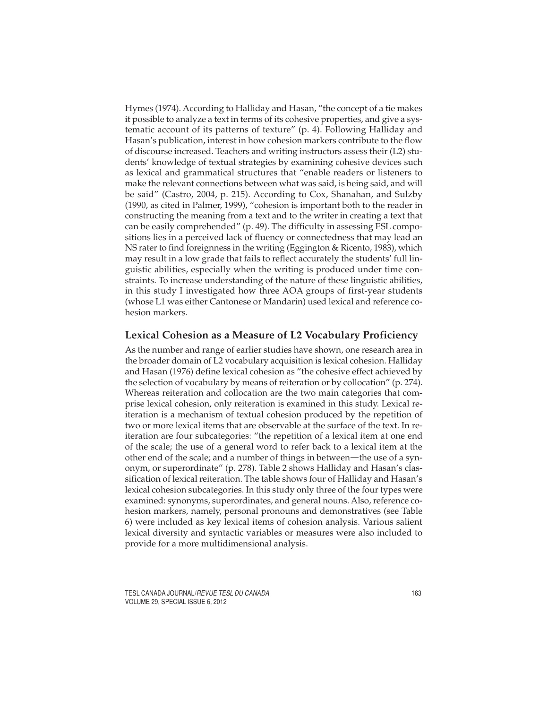Hymes (1974). According to Halliday and Hasan, "the concept of a tie makes it possible to analyze a text in terms of its cohesive properties, and give a systematic account of its patterns of texture" (p. 4). Following Halliday and Hasan's publication, interest in how cohesion markers contribute to the flow of discourse increased. Teachers and writing instructors assess their (L2) students' knowledge of textual strategies by examining cohesive devices such as lexical and grammatical structures that "enable readers or listeners to make the relevant connections between what was said, is being said, and will be said" (Castro, 2004, p. 215). According to Cox, Shanahan, and Sulzby (1990, as cited in Palmer, 1999), "cohesion is important both to the reader in constructing the meaning from a text and to the writer in creating a text that can be easily comprehended" (p. 49). The difficulty in assessing ESL compositions lies in a perceived lack of fluency or connectedness that may lead an NS rater to find foreignness in the writing (Eggington & Ricento, 1983), which may result in a low grade that fails to reflect accurately the students' full linguistic abilities, especially when the writing is produced under time constraints. To increase understanding of the nature of these linguistic abilities, in this study I investigated how three AOA groups of first-year students (whose L1 was either Cantonese or Mandarin) used lexical and reference cohesion markers.

### **Lexical Cohesion as a Measure of L2 Vocabulary Proficiency**

As the number and range of earlier studies have shown, one research area in the broader domain of L2 vocabulary acquisition is lexical cohesion. Halliday and Hasan (1976) define lexical cohesion as "the cohesive effect achieved by the selection of vocabulary by means of reiteration or by collocation" (p. 274). Whereas reiteration and collocation are the two main categories that comprise lexical cohesion, only reiteration is examined in this study. Lexical reiteration is a mechanism of textual cohesion produced by the repetition of two or more lexical items that are observable at the surface of the text. In reiteration are four subcategories: "the repetition of a lexical item at one end of the scale; the use of a general word to refer back to a lexical item at the other end of the scale; and a number of things in between―the use of a synonym, or superordinate" (p. 278). Table 2 shows Halliday and Hasan's classification of lexical reiteration. The table shows four of Halliday and Hasan's lexical cohesion subcategories. In this study only three of the four types were examined: synonyms, superordinates, and general nouns. Also, reference cohesion markers, namely, personal pronouns and demonstratives (see Table 6) were included as key lexical items of cohesion analysis. Various salient lexical diversity and syntactic variables or measures were also included to provide for a more multidimensional analysis.

TESL CANADA JOURNAL/*REVUE TESL DU CANADA* 163 VOLUME 29, SPECIAL ISSUE 6, 2012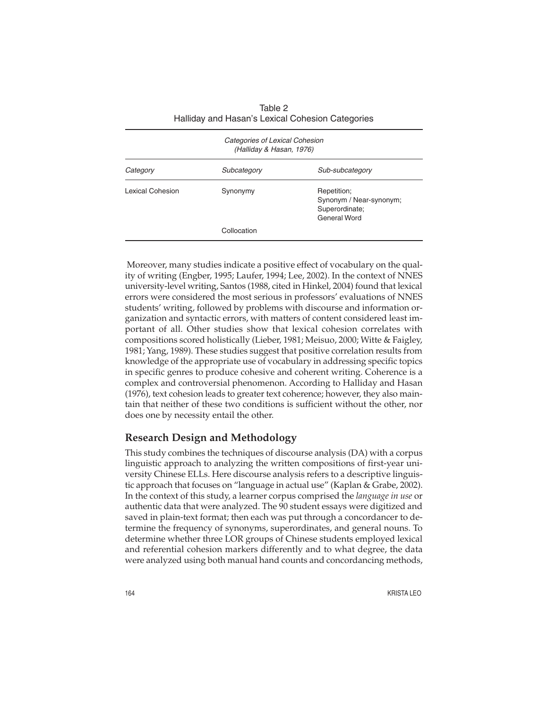| Categories of Lexical Cohesion<br>(Halliday & Hasan, 1976) |             |                                                                                 |  |
|------------------------------------------------------------|-------------|---------------------------------------------------------------------------------|--|
| Category                                                   | Subcategory | Sub-subcategory                                                                 |  |
| <b>Lexical Cohesion</b>                                    | Synonymy    | Repetition;<br>Synonym / Near-synonym;<br>Superordinate;<br><b>General Word</b> |  |
|                                                            | Collocation |                                                                                 |  |

| Table 2                                          |  |
|--------------------------------------------------|--|
| Halliday and Hasan's Lexical Cohesion Categories |  |

Moreover, many studies indicate a positive effect of vocabulary on the quality of writing (Engber, 1995; Laufer, 1994; Lee, 2002). In the context of NNES university-level writing, Santos (1988, cited in Hinkel, 2004) found that lexical errors were considered the most serious in professors' evaluations of NNES students' writing, followed by problems with discourse and information organization and syntactic errors, with matters of content considered least important of all. Other studies show that lexical cohesion correlates with compositions scored holistically (Lieber, 1981; Meisuo, 2000; Witte & Faigley, 1981; Yang, 1989). These studies suggest that positive correlation results from knowledge of the appropriate use of vocabulary in addressing specific topics in specific genres to produce cohesive and coherent writing. Coherence is a complex and controversial phenomenon. According to Halliday and Hasan (1976), text cohesion leads to greater text coherence; however, they also maintain that neither of these two conditions is sufficient without the other, nor does one by necessity entail the other.

### **Research Design and Methodology**

This study combines the techniques of discourse analysis (DA) with a corpus linguistic approach to analyzing the written compositions of first-year university Chinese ELLs. Here discourse analysis refers to a descriptive linguistic approach that focuses on "language in actual use" (Kaplan & Grabe, 2002). In the context of this study, a learner corpus comprised the *language in use* or authentic data that were analyzed. The 90 student essays were digitized and saved in plain-text format; then each was put through a concordancer to determine the frequency of synonyms, superordinates, and general nouns. To determine whether three LOR groups of Chinese students employed lexical and referential cohesion markers differently and to what degree, the data were analyzed using both manual hand counts and concordancing methods,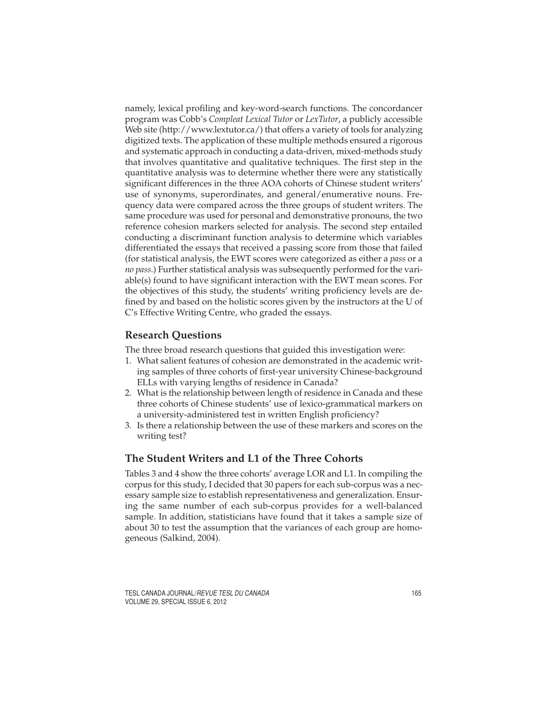namely, lexical profiling and key-word-search functions. The concordancer program was Cobb's *Compleat Lexical Tutor* or *LexTutor*, a publicly accessible Web site (http://www.lextutor.ca/) that offers a variety of tools for analyzing digitized texts. The application of these multiple methods ensured a rigorous and systematic approach in conducting a data-driven, mixed-methods study that involves quantitative and qualitative techniques. The first step in the quantitative analysis was to determine whether there were any statistically significant differences in the three AOA cohorts of Chinese student writers' use of synonyms, superordinates, and general/enumerative nouns. Frequency data were compared across the three groups of student writers. The same procedure was used for personal and demonstrative pronouns, the two reference cohesion markers selected for analysis. The second step entailed conducting a discriminant function analysis to determine which variables differentiated the essays that received a passing score from those that failed (for statistical analysis, the EWT scores were categorized as either a *pass* or a *no pass*.) Further statistical analysis was subsequently performed for the variable(s) found to have significant interaction with the EWT mean scores. For the objectives of this study, the students' writing proficiency levels are defined by and based on the holistic scores given by the instructors at the U of C's Effective Writing Centre, who graded the essays.

### **Research Questions**

The three broad research questions that guided this investigation were:

- 1. What salient features of cohesion are demonstrated in the academic writing samples of three cohorts of first-year university Chinese-background ELLs with varying lengths of residence in Canada?
- 2. What is the relationship between length of residence in Canada and these three cohorts of Chinese students' use of lexico-grammatical markers on a university-administered test in written English proficiency?
- 3. Is there a relationship between the use of these markers and scores on the writing test?

#### **The Student Writers and L1 of the Three Cohorts**

Tables 3 and 4 show the three cohorts' average LOR and L1. In compiling the corpus for this study, I decided that 30 papers for each sub-corpus was a necessary sample size to establish representativeness and generalization. Ensuring the same number of each sub-corpus provides for a well-balanced sample. In addition, statisticians have found that it takes a sample size of about 30 to test the assumption that the variances of each group are homogeneous (Salkind, 2004).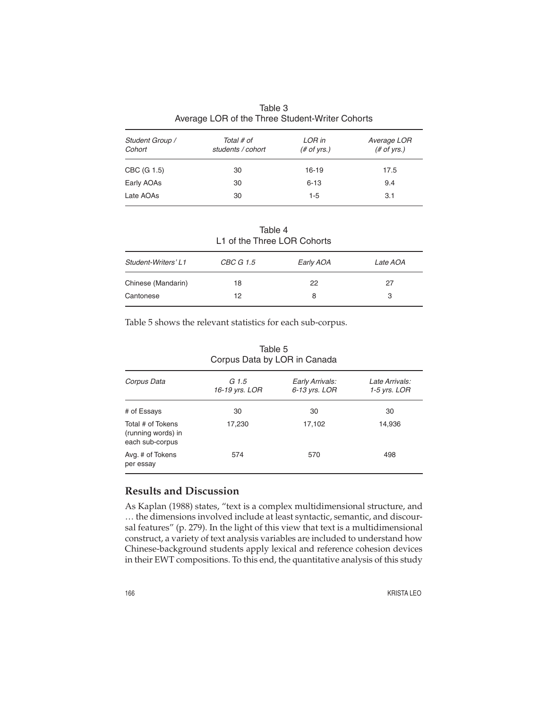| Student Group /<br>Cohort | Total # of<br>students / cohort | LOR in<br>$#$ of yrs.) | Average LOR<br>$#$ of yrs.) |
|---------------------------|---------------------------------|------------------------|-----------------------------|
| CBC (G 1.5)               | 30                              | 16-19                  | 17.5                        |
| Early AOAs                | 30                              | $6 - 13$               | 9.4                         |
| Late AOAs                 | 30                              | 1-5                    | 3.1                         |

Table 3 Average LOR of the Three Student-Writer Cohorts

Table 4 L1 of the Three LOR Cohorts

| Student-Writers' L1 | CBC G 1.5 | Early AOA | Late AOA |
|---------------------|-----------|-----------|----------|
| Chinese (Mandarin)  | 18        | 22        | 27       |
| Cantonese           | 12        | 8         |          |

Table 5 shows the relevant statistics for each sub-corpus.

| Table 5                      |  |  |  |  |
|------------------------------|--|--|--|--|
| Corpus Data by LOR in Canada |  |  |  |  |

| Corpus Data                                                | G 1.5<br>16-19 yrs. LOR | Early Arrivals:<br>6-13 yrs. LOR | Late Arrivals:<br>1-5 yrs. LOR |
|------------------------------------------------------------|-------------------------|----------------------------------|--------------------------------|
| # of Essays                                                | 30                      | 30                               | 30                             |
| Total # of Tokens<br>(running words) in<br>each sub-corpus | 17,230                  | 17,102                           | 14,936                         |
| Avg. # of Tokens<br>per essay                              | 574                     | 570                              | 498                            |

## **Results and Discussion**

As Kaplan (1988) states, "text is a complex multidimensional structure, and … the dimensions involved include at least syntactic, semantic, and discoursal features" (p. 279). In the light of this view that text is a multidimensional construct, a variety of text analysis variables are included to understand how Chinese-background students apply lexical and reference cohesion devices in their EWT compositions. To this end, the quantitative analysis of this study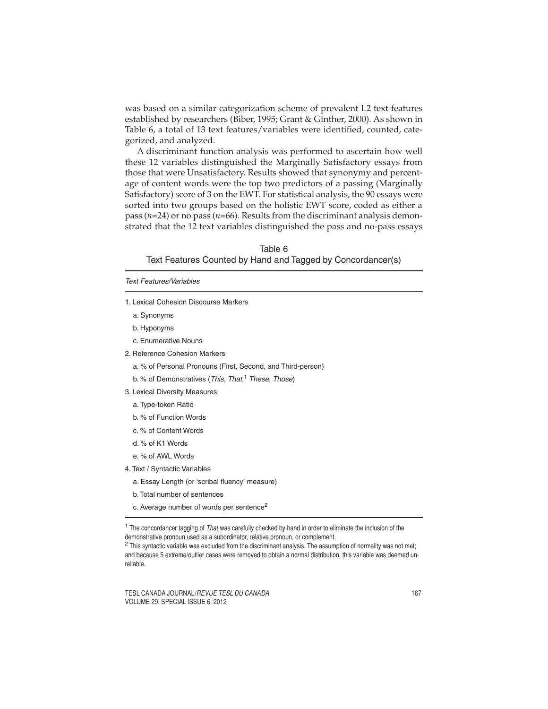was based on a similar categorization scheme of prevalent L2 text features established by researchers (Biber, 1995; Grant & Ginther, 2000). As shown in Table 6, a total of 13 text features/variables were identified, counted, categorized, and analyzed.

A discriminant function analysis was performed to ascertain how well these 12 variables distinguished the Marginally Satisfactory essays from those that were Unsatisfactory. Results showed that synonymy and percentage of content words were the top two predictors of a passing (Marginally Satisfactory) score of 3 on the EWT. For statistical analysis, the 90 essays were sorted into two groups based on the holistic EWT score, coded as either a pass (*n*=24) or no pass (*n*=66). Results from the discriminant analysis demonstrated that the 12 text variables distinguished the pass and no-pass essays

Table 6 Text Features Counted by Hand and Tagged by Concordancer(s)

*Text Features/Variables*

- 1. Lexical Cohesion Discourse Markers
	- a. Synonyms
	- b. Hyponyms
	- c. Enumerative Nouns

2. Reference Cohesion Markers

- a. % of Personal Pronouns (First, Second, and Third-person)
- b. % of Demonstratives (*This, That*, <sup>1</sup> *These, Those*)
- 3. Lexical Diversity Measures
	- a. Type-token Ratio
	- b. % of Function Words
	- c. % of Content Words
	- d. % of K1 Words
	- e. % of AWL Words
- 4. Text / Syntactic Variables
	- a. Essay Length (or 'scribal fluency' measure)
	- b. Total number of sentences
	- c. Average number of words per sentence<sup>2</sup>

<sup>1</sup> The concordancer tagging of That was carefully checked by hand in order to eliminate the inclusion of the demonstrative pronoun used as a subordinator, relative pronoun, or complement.

<sup>2</sup> This syntactic variable was excluded from the discriminant analysis. The assumption of normality was not met; and because 5 extreme/outlier cases were removed to obtain a normal distribution, this variable was deemed unreliable.

TESL CANADA JOURNAL/*REVUE TESL DU CANADA* 167 VOLUME 29, SPECIAL ISSUE 6, 2012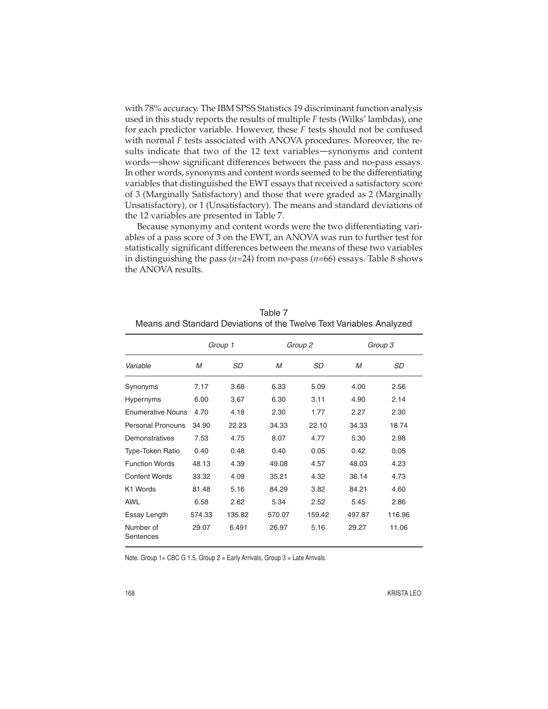with 78% accuracy. The IBM SPSS Statistics 19 discriminant function analysis used in this study reports the results of multiple *F* tests (Wilks' lambdas), one for each predictor variable. However, these *F* tests should not be confused with normal *F* tests associated with ANOVA procedures. Moreover, the results indicate that two of the 12 text variables―synonyms and content words―show significant differences between the pass and no-pass essays. In other words, synonyms and content words seemed to be the differentiating variables that distinguished the EWT essays that received a satisfactory score of 3 (Marginally Satisfactory) and those that were graded as 2 (Marginally Unsatisfactory), or 1 (Unsatisfactory). The means and standard deviations of the 12 variables are presented in Table 7.

Because synonymy and content words were the two differentiating variables of a pass score of 3 on the EWT, an ANOVA was run to further test for statistically significant differences between the means of these two variables in distinguishing the pass (*n*=24) from no-pass (*n*=66) essays. Table 8 shows the ANOVA results.

|                          |        | Group 1 |        | Group <sub>2</sub> |        | Group 3 |
|--------------------------|--------|---------|--------|--------------------|--------|---------|
| Variable                 | M      | SD      | M      | SD                 | M      | SD      |
| Synonyms                 | 7.17   | 3.68    | 6.33   | 5.09               | 4.00   | 2.56    |
| <b>Hypernyms</b>         | 6.00   | 3.67    | 6.30   | 3.11               | 4.90   | 2.14    |
| <b>Enumerative Nouns</b> | 4.70   | 4.18    | 2.30   | 1.77               | 2.27   | 2.30    |
| <b>Personal Pronouns</b> | 34.90  | 22.23   | 34.33  | 22.10              | 34.33  | 18.74   |
| Demonstratives           | 7.53   | 4.75    | 8.07   | 4.77               | 5.30   | 2.98    |
| Type-Token Ratio         | 0.40   | 0.48    | 0.40   | 0.05               | 0.42   | 0.05    |
| <b>Function Words</b>    | 48.13  | 4.39    | 49.08  | 4.57               | 48.03  | 4.23    |
| <b>Content Words</b>     | 33.32  | 4.09    | 35.21  | 4.32               | 36.14  | 4.73    |
| K <sub>1</sub> Words     | 81.48  | 5.16    | 84.29  | 3.82               | 84.21  | 4.60    |
| AWL                      | 6.58   | 2.62    | 5.34   | 2.52               | 5.45   | 2.86    |
| Essay Length             | 574.33 | 135.82  | 570.07 | 159.42             | 497.87 | 116.96  |
| Number of<br>Sentences   | 29.07  | 6.491   | 26.97  | 5.16               | 29.27  | 11.06   |

Table 7 Means and Standard Deviations of the Twelve Text Variables Analyzed

Note. Group 1= CBC G 1.5, Group 2 = Early Arrivals, Group 3 = Late Arrivals.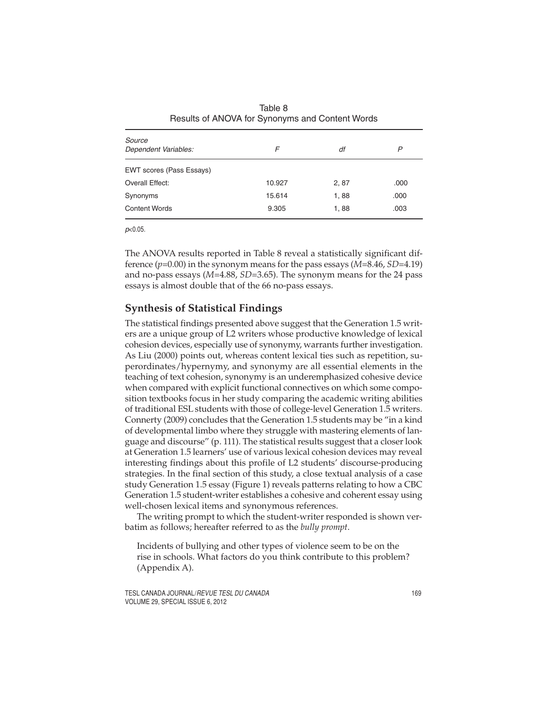| Source<br>Dependent Variables: | F      | df   | P    |
|--------------------------------|--------|------|------|
| EWT scores (Pass Essays)       |        |      |      |
| Overall Effect:                | 10.927 | 2,87 | .000 |
| Synonyms                       | 15.614 | 1,88 | .000 |
| <b>Content Words</b>           | 9.305  | 1,88 | .003 |

Table 8 Results of ANOVA for Synonyms and Content Words

*p*<0.05.

The ANOVA results reported in Table 8 reveal a statistically significant difference (*p*=0.00) in the synonym means for the pass essays (*M*=8.46, *SD*=4.19) and no-pass essays (*M*=4.88, *SD*=3.65). The synonym means for the 24 pass essays is almost double that of the 66 no-pass essays.

### **Synthesis of Statistical Findings**

The statistical findings presented above suggest that the Generation 1.5 writers are a unique group of L2 writers whose productive knowledge of lexical cohesion devices, especially use of synonymy, warrants further investigation. As Liu (2000) points out, whereas content lexical ties such as repetition, superordinates/hypernymy, and synonymy are all essential elements in the teaching of text cohesion, synonymy is an underemphasized cohesive device when compared with explicit functional connectives on which some composition textbooks focus in her study comparing the academic writing abilities of traditional ESL students with those of college-level Generation 1.5 writers. Connerty (2009) concludes that the Generation 1.5 students may be "in a kind of developmental limbo where they struggle with mastering elements of language and discourse" (p. 111). The statistical results suggest that a closer look at Generation 1.5 learners' use of various lexical cohesion devices may reveal interesting findings about this profile of L2 students' discourse-producing strategies. In the final section of this study, a close textual analysis of a case study Generation 1.5 essay (Figure 1) reveals patterns relating to how a CBC Generation 1.5 student-writer establishes a cohesive and coherent essay using well-chosen lexical items and synonymous references.

The writing prompt to which the student-writer responded is shown verbatim as follows; hereafter referred to as the *bully prompt*.

Incidents of bullying and other types of violence seem to be on the rise in schools. What factors do you think contribute to this problem? (Appendix A).

TESL CANADA JOURNAL/REVUE TESL DU CANADA 169 VOLUME 29, SPECIAL ISSUE 6, 2012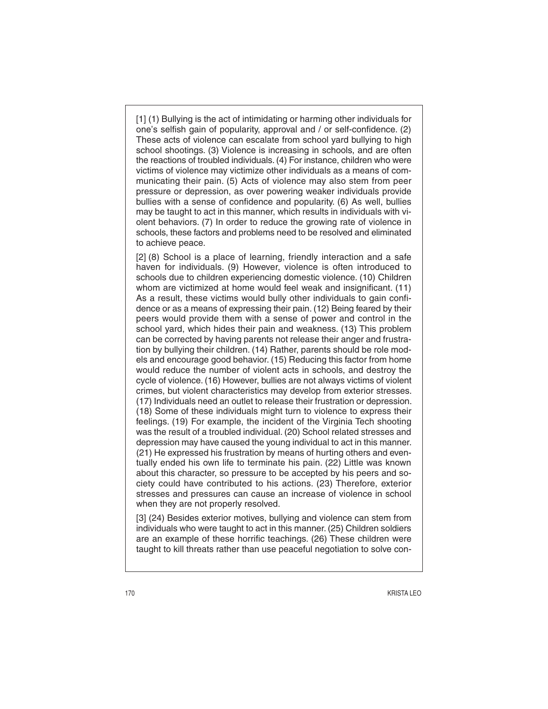[1] (1) Bullying is the act of intimidating or harming other individuals for one's selfish gain of popularity, approval and / or self-confidence. (2) These acts of violence can escalate from school yard bullying to high school shootings. (3) Violence is increasing in schools, and are often the reactions of troubled individuals. (4) For instance, children who were victims of violence may victimize other individuals as a means of communicating their pain. (5) Acts of violence may also stem from peer pressure or depression, as over powering weaker individuals provide bullies with a sense of confidence and popularity. (6) As well, bullies may be taught to act in this manner, which results in individuals with violent behaviors. (7) In order to reduce the growing rate of violence in schools, these factors and problems need to be resolved and eliminated to achieve peace.

[2] (8) School is a place of learning, friendly interaction and a safe haven for individuals. (9) However, violence is often introduced to schools due to children experiencing domestic violence. (10) Children whom are victimized at home would feel weak and insignificant. (11) As a result, these victims would bully other individuals to gain confidence or as a means of expressing their pain. (12) Being feared by their peers would provide them with a sense of power and control in the school yard, which hides their pain and weakness. (13) This problem can be corrected by having parents not release their anger and frustration by bullying their children. (14) Rather, parents should be role models and encourage good behavior. (15) Reducing this factor from home would reduce the number of violent acts in schools, and destroy the cycle of violence. (16) However, bullies are not always victims of violent crimes, but violent characteristics may develop from exterior stresses. (17) Individuals need an outlet to release their frustration or depression. (18) Some of these individuals might turn to violence to express their feelings. (19) For example, the incident of the Virginia Tech shooting was the result of a troubled individual. (20) School related stresses and depression may have caused the young individual to act in this manner. (21) He expressed his frustration by means of hurting others and eventually ended his own life to terminate his pain. (22) Little was known about this character, so pressure to be accepted by his peers and society could have contributed to his actions. (23) Therefore, exterior stresses and pressures can cause an increase of violence in school when they are not properly resolved.

[3] (24) Besides exterior motives, bullying and violence can stem from individuals who were taught to act in this manner. (25) Children soldiers are an example of these horrific teachings. (26) These children were taught to kill threats rather than use peaceful negotiation to solve con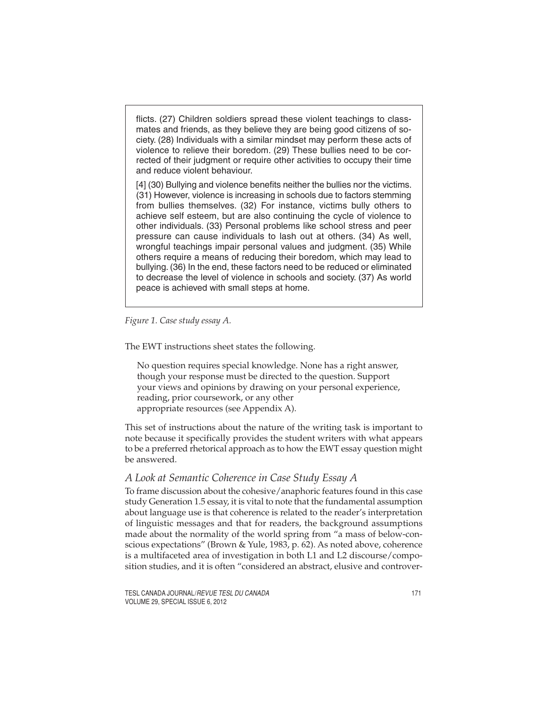flicts. (27) Children soldiers spread these violent teachings to classmates and friends, as they believe they are being good citizens of society. (28) Individuals with a similar mindset may perform these acts of violence to relieve their boredom. (29) These bullies need to be corrected of their judgment or require other activities to occupy their time and reduce violent behaviour.

[4] (30) Bullying and violence benefits neither the bullies nor the victims. (31) However, violence is increasing in schools due to factors stemming from bullies themselves. (32) For instance, victims bully others to achieve self esteem, but are also continuing the cycle of violence to other individuals. (33) Personal problems like school stress and peer pressure can cause individuals to lash out at others. (34) As well, wrongful teachings impair personal values and judgment. (35) While others require a means of reducing their boredom, which may lead to bullying. (36) In the end, these factors need to be reduced or eliminated to decrease the level of violence in schools and society. (37) As world peace is achieved with small steps at home.

#### *Figure 1. Case study essay A.*

The EWT instructions sheet states the following.

No question requires special knowledge. None has a right answer, though your response must be directed to the question. Support your views and opinions by drawing on your personal experience, reading, prior coursework, or any other appropriate resources (see Appendix A).

This set of instructions about the nature of the writing task is important to note because it specifically provides the student writers with what appears to be a preferred rhetorical approach as to how the EWT essay question might be answered.

### *A Look at Semantic Coherence in Case Study Essay A*

To frame discussion about the cohesive/anaphoric features found in this case study Generation 1.5 essay, it is vital to note that the fundamental assumption about language use is that coherence is related to the reader's interpretation of linguistic messages and that for readers, the background assumptions made about the normality of the world spring from "a mass of below-conscious expectations" (Brown & Yule, 1983, p. 62). As noted above, coherence is a multifaceted area of investigation in both L1 and L2 discourse/composition studies, and it is often "considered an abstract, elusive and controver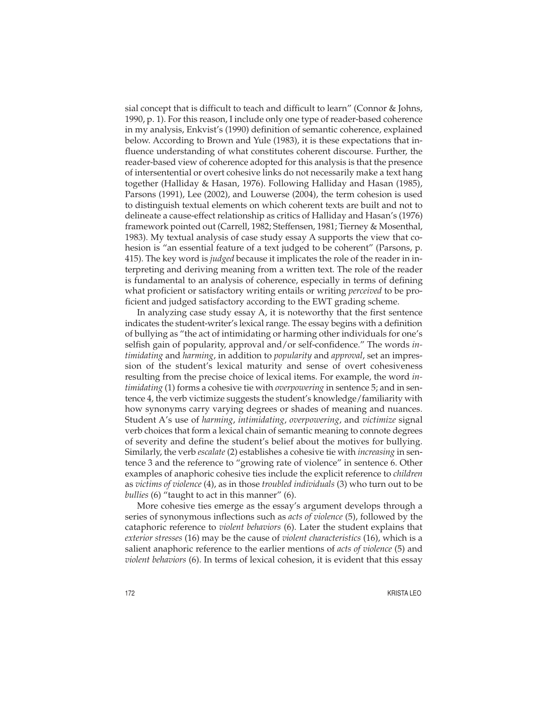sial concept that is difficult to teach and difficult to learn" (Connor & Johns, 1990, p. 1). For this reason, I include only one type of reader-based coherence in my analysis, Enkvist's (1990) definition of semantic coherence, explained below. According to Brown and Yule (1983), it is these expectations that influence understanding of what constitutes coherent discourse. Further, the reader-based view of coherence adopted for this analysis is that the presence of intersentential or overt cohesive links do not necessarily make a text hang together (Halliday & Hasan, 1976). Following Halliday and Hasan (1985), Parsons (1991), Lee (2002), and Louwerse (2004), the term cohesion is used to distinguish textual elements on which coherent texts are built and not to delineate a cause-effect relationship as critics of Halliday and Hasan's (1976) framework pointed out (Carrell, 1982; Steffensen, 1981; Tierney & Mosenthal, 1983). My textual analysis of case study essay A supports the view that cohesion is "an essential feature of a text judged to be coherent" (Parsons, p. 415). The key word is *judged* because it implicates the role of the reader in interpreting and deriving meaning from a written text. The role of the reader is fundamental to an analysis of coherence, especially in terms of defining what proficient or satisfactory writing entails or writing *perceived* to be proficient and judged satisfactory according to the EWT grading scheme.

In analyzing case study essay A, it is noteworthy that the first sentence indicates the student-writer's lexical range. The essay begins with a definition of bullying as "the act of intimidating or harming other individuals for one's selfish gain of popularity, approval and/or self-confidence." The words *intimidating* and *harming*, in addition to *popularity* and *approval*, set an impression of the student's lexical maturity and sense of overt cohesiveness resulting from the precise choice of lexical items. For example, the word *intimidating* (1) forms a cohesive tie with *overpowering* in sentence 5; and in sentence 4, the verb victimize suggests the student's knowledge/familiarity with how synonyms carry varying degrees or shades of meaning and nuances. Student A's use of *harming*, *intimidating*, *overpowering*, and *victimize* signal verb choices that form a lexical chain of semantic meaning to connote degrees of severity and define the student's belief about the motives for bullying. Similarly, the verb *escalate* (2) establishes a cohesive tie with *increasing* in sentence 3 and the reference to "growing rate of violence" in sentence 6. Other examples of anaphoric cohesive ties include the explicit reference to *children* as *victims of violence* (4), as in those *troubled individuals* (3) who turn out to be *bullies* (6) "taught to act in this manner" (6).

More cohesive ties emerge as the essay's argument develops through a series of synonymous inflections such as *acts of violence* (5), followed by the cataphoric reference to *violent behaviors* (6). Later the student explains that *exterior stresses* (16) may be the cause of *violent characteristics* (16), which is a salient anaphoric reference to the earlier mentions of *acts of violence* (5) and *violent behaviors* (6). In terms of lexical cohesion, it is evident that this essay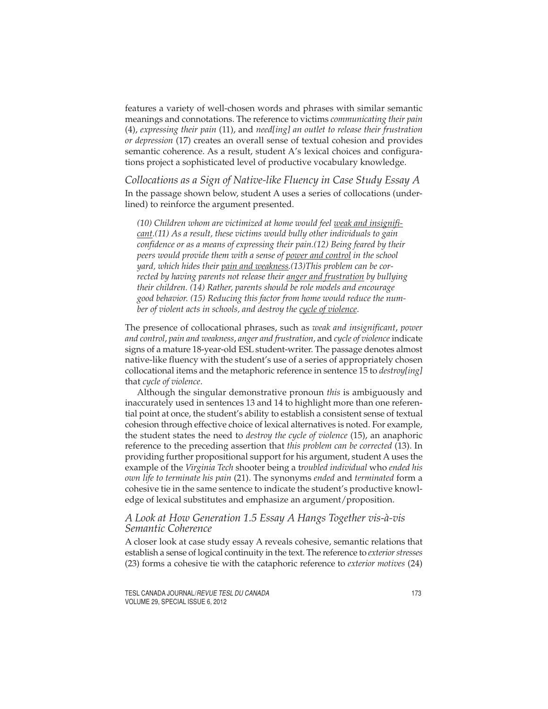features a variety of well-chosen words and phrases with similar semantic meanings and connotations. The reference to victims *communicating their pain* (4), *expressing their pain* (11), and *need[ing] an outlet to release their frustration or depression* (17) creates an overall sense of textual cohesion and provides semantic coherence. As a result, student A's lexical choices and configurations project a sophisticated level of productive vocabulary knowledge.

*Collocations as a Sign of Native-like Fluency in Case Study Essay A* In the passage shown below, student A uses a series of collocations (underlined) to reinforce the argument presented.

*(10) Children whom are victimized at home would feel weak and insignificant.(11) As a result, these victims would bully other individuals to gain confidence or as a means of expressing their pain.(12) Being feared by their peers would provide them with a sense of power and control in the school yard, which hides their pain and weakness.(13)This problem can be corrected by having parents not release their anger and frustration by bullying their children. (14) Rather, parents should be role models and encourage good behavior. (15) Reducing this factor from home would reduce the number of violent acts in schools, and destroy the cycle of violence*.

The presence of collocational phrases, such as *weak and insignificant*, *power and control*, *pain and weakness*, *anger and frustration*, and *cycle of violence* indicate signs of a mature 18-year-old ESL student-writer. The passage denotes almost native-like fluency with the student's use of a series of appropriately chosen collocational items and the metaphoric reference in sentence 15 to *destroy[ing]* that *cycle of violence*.

Although the singular demonstrative pronoun *this* is ambiguously and inaccurately used in sentences 13 and 14 to highlight more than one referential point at once, the student's ability to establish a consistent sense of textual cohesion through effective choice of lexical alternatives is noted. For example, the student states the need to *destroy the cycle of violence* (15), an anaphoric reference to the preceding assertion that *this problem can be corrected* (13). In providing further propositional support for his argument, student A uses the example of the *Virginia Tech* shooter being a t*roubled individual* who *ended his own life to terminate his pain* (21). The synonyms *ended* and *terminated* form a cohesive tie in the same sentence to indicate the student's productive knowledge of lexical substitutes and emphasize an argument/proposition.

### *A Look at How Generation 1.5 Essay A Hangs Together vis-à-vis Semantic Coherence*

A closer look at case study essay A reveals cohesive, semantic relations that establish a sense of logical continuity in the text. The reference to *exterior stresses* (23) forms a cohesive tie with the cataphoric reference to *exterior motives* (24)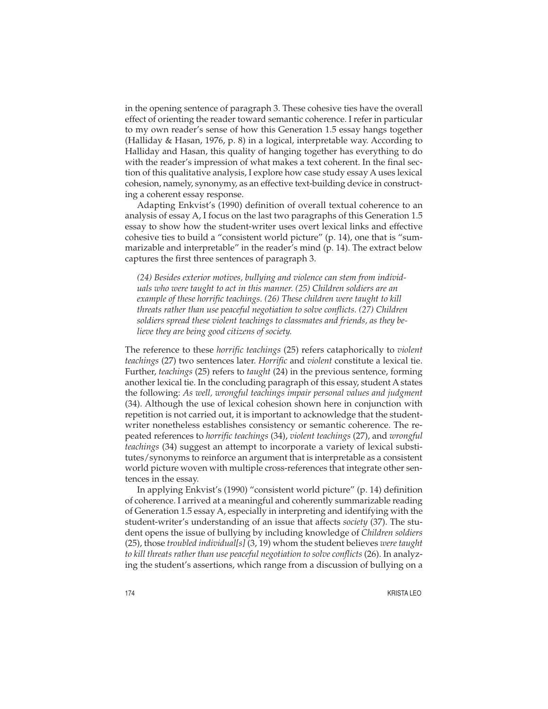in the opening sentence of paragraph 3. These cohesive ties have the overall effect of orienting the reader toward semantic coherence. I refer in particular to my own reader's sense of how this Generation 1.5 essay hangs together (Halliday & Hasan, 1976, p. 8) in a logical, interpretable way. According to Halliday and Hasan, this quality of hanging together has everything to do with the reader's impression of what makes a text coherent. In the final section of this qualitative analysis, I explore how case study essay A uses lexical cohesion, namely, synonymy, as an effective text-building device in constructing a coherent essay response.

Adapting Enkvist's (1990) definition of overall textual coherence to an analysis of essay A, I focus on the last two paragraphs of this Generation 1.5 essay to show how the student-writer uses overt lexical links and effective cohesive ties to build a "consistent world picture" (p. 14), one that is "summarizable and interpretable" in the reader's mind (p. 14). The extract below captures the first three sentences of paragraph 3.

*(24) Besides exterior motives, bullying and violence can stem from individuals who were taught to act in this manner. (25) Children soldiers are an example of these horrific teachings. (26) These children were taught to kill threats rather than use peaceful negotiation to solve conflicts. (27) Children soldiers spread these violent teachings to classmates and friends, as they believe they are being good citizens of society.*

The reference to these *horrific teachings* (25) refers cataphorically to *violent teachings* (27) two sentences later. *Horrific* and *violent* constitute a lexical tie. Further, *teachings* (25) refers to *taught* (24) in the previous sentence, forming another lexical tie. In the concluding paragraph of this essay, student A states the following: *As well, wrongful teachings impair personal values and judgment* (34). Although the use of lexical cohesion shown here in conjunction with repetition is not carried out, it is important to acknowledge that the studentwriter nonetheless establishes consistency or semantic coherence. The repeated references to *horrific teachings* (34), *violent teachings* (27), and *wrongful teachings* (34) suggest an attempt to incorporate a variety of lexical substitutes/synonyms to reinforce an argument that is interpretable as a consistent world picture woven with multiple cross-references that integrate other sentences in the essay.

In applying Enkvist's (1990) "consistent world picture" (p. 14) definition of coherence. I arrived at a meaningful and coherently summarizable reading of Generation 1.5 essay A, especially in interpreting and identifying with the student-writer's understanding of an issue that affects *society* (37). The student opens the issue of bullying by including knowledge of *Children soldiers* (25), those *troubled individual[s]* (3, 19) whom the student believes *were taught to kill threats rather than use peaceful negotiation to solve conflicts* (26). In analyzing the student's assertions, which range from a discussion of bullying on a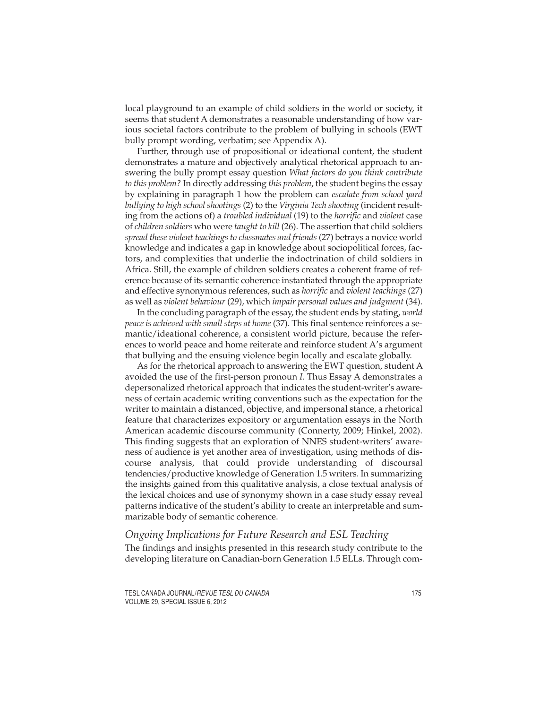local playground to an example of child soldiers in the world or society, it seems that student A demonstrates a reasonable understanding of how various societal factors contribute to the problem of bullying in schools (EWT bully prompt wording, verbatim; see Appendix A).

Further, through use of propositional or ideational content, the student demonstrates a mature and objectively analytical rhetorical approach to answering the bully prompt essay question *What factors do you think contribute to this problem?* In directly addressing *this problem*, the student begins the essay by explaining in paragraph 1 how the problem can *escalate from school yard bullying to high school shootings* (2) to the *Virginia Tech shooting* (incident resulting from the actions of) a *troubled individual* (19) to the *horrific* and *violent* case of *children soldiers* who were *taught to kill* (26). The assertion that child soldiers *spread these violent teachings to classmates and friends* (27) betrays a novice world knowledge and indicates a gap in knowledge about sociopolitical forces, factors, and complexities that underlie the indoctrination of child soldiers in Africa. Still, the example of children soldiers creates a coherent frame of reference because of its semantic coherence instantiated through the appropriate and effective synonymous references, such as *horrific* and *violent teachings* (27) as well as *violent behaviour* (29), which *impair personal values and judgment* (34).

In the concluding paragraph of the essay, the student ends by stating, *world peace is achieved with small steps at home* (37). This final sentence reinforces a semantic/ideational coherence, a consistent world picture, because the references to world peace and home reiterate and reinforce student A's argument that bullying and the ensuing violence begin locally and escalate globally.

As for the rhetorical approach to answering the EWT question, student A avoided the use of the first-person pronoun *I*. Thus Essay A demonstrates a depersonalized rhetorical approach that indicates the student-writer's awareness of certain academic writing conventions such as the expectation for the writer to maintain a distanced, objective, and impersonal stance, a rhetorical feature that characterizes expository or argumentation essays in the North American academic discourse community (Connerty, 2009; Hinkel, 2002). This finding suggests that an exploration of NNES student-writers' awareness of audience is yet another area of investigation, using methods of discourse analysis, that could provide understanding of discoursal tendencies/productive knowledge of Generation 1.5 writers. In summarizing the insights gained from this qualitative analysis, a close textual analysis of the lexical choices and use of synonymy shown in a case study essay reveal patterns indicative of the student's ability to create an interpretable and summarizable body of semantic coherence.

### *Ongoing Implications for Future Research and ESL Teaching*

The findings and insights presented in this research study contribute to the developing literature on Canadian-born Generation 1.5 ELLs. Through com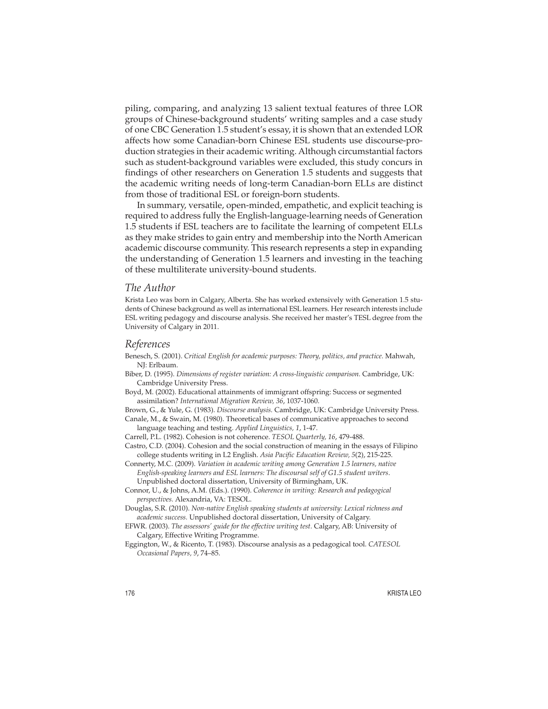piling, comparing, and analyzing 13 salient textual features of three LOR groups of Chinese-background students' writing samples and a case study of one CBC Generation 1.5 student's essay, it is shown that an extended LOR affects how some Canadian-born Chinese ESL students use discourse-production strategies in their academic writing. Although circumstantial factors such as student-background variables were excluded, this study concurs in findings of other researchers on Generation 1.5 students and suggests that the academic writing needs of long-term Canadian-born ELLs are distinct from those of traditional ESL or foreign-born students.

In summary, versatile, open-minded, empathetic, and explicit teaching is required to address fully the English-language-learning needs of Generation 1.5 students if ESL teachers are to facilitate the learning of competent ELLs as they make strides to gain entry and membership into the North American academic discourse community. This research represents a step in expanding the understanding of Generation 1.5 learners and investing in the teaching of these multiliterate university-bound students.

#### *The Author*

Krista Leo was born in Calgary, Alberta. She has worked extensively with Generation 1.5 students of Chinese background as well as international ESL learners. Her research interests include ESL writing pedagogy and discourse analysis. She received her master's TESL degree from the University of Calgary in 2011.

#### *References*

- Benesch, S. (2001). *Critical English for academic purposes: Theory, politics, and practice.* Mahwah, NJ: Erlbaum.
- Biber, D. (1995). *Dimensions of register variation: A cross-linguistic comparison.* Cambridge, UK: Cambridge University Press.
- Boyd, M. (2002). Educational attainments of immigrant offspring: Success or segmented assimilation? *International Migration Review, 36*, 1037-1060.

Brown, G., & Yule, G. (1983). *Discourse analysis.* Cambridge, UK: Cambridge University Press. Canale, M., & Swain, M. (1980). Theoretical bases of communicative approaches to second

language teaching and testing. *Applied Linguistics, 1*, 1-47.

Carrell, P.L. (1982). Cohesion is not coherence. *TESOL Quarterly, 16*, 479-488.

Castro, C.D. (2004). Cohesion and the social construction of meaning in the essays of Filipino college students writing in L2 English. *Asia Pacific Education Review, 5*(2), 215-225.

Connerty, M.C. (2009). *Variation in academic writing among Generation 1.5 learners, native English-speaking learners and ESL learners: The discoursal self of G1.5 student writers*. Unpublished doctoral dissertation, University of Birmingham, UK.

Connor, U., & Johns, A.M. (Eds.). (1990). *Coherence in writing: Research and pedagogical perspectives.* Alexandria, VA: TESOL.

Douglas, S.R. (2010). *Non-native English speaking students at university: Lexical richness and academic success.* Unpublished doctoral dissertation, University of Calgary.

EFWR. (2003). *The assessors' guide for the effective writing test.* Calgary, AB: University of Calgary, Effective Writing Programme.

Eggington, W., & Ricento, T. (1983). Discourse analysis as a pedagogical tool. *CATESOL Occasional Papers, 9*, 74–85.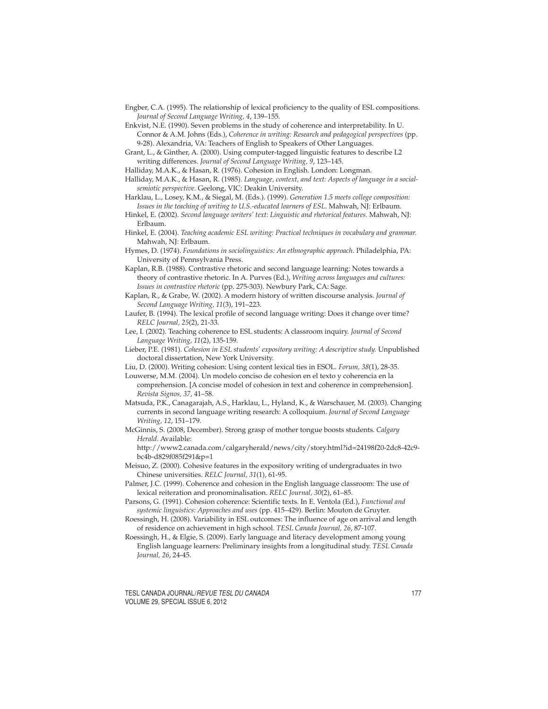- Engber, C.A. (1995). The relationship of lexical proficiency to the quality of ESL compositions. *Journal of Second Language Writing, 4*, 139–155.
- Enkvist, N.E. (1990). Seven problems in the study of coherence and interpretability. In U. Connor & A.M. Johns (Eds.), *Coherence in writing: Research and pedagogical perspectives* (pp. 9-28). Alexandria, VA: Teachers of English to Speakers of Other Languages.
- Grant, L., & Ginther, A. (2000). Using computer-tagged linguistic features to describe L2 writing differences. *Journal of Second Language Writing, 9*, 123–145.
- Halliday, M.A.K., & Hasan, R. (1976). Cohesion in English. London: Longman.
- Halliday, M.A.K., & Hasan, R. (1985). *Language, context, and text: Aspects of language in a socialsemiotic perspective.* Geelong, VIC: Deakin University.
- Harklau, L., Losey, K.M., & Siegal, M. (Eds.). (1999). *Generation 1.5 meets college composition: Issues in the teaching of writing to U.S.-educated learners of ESL*. Mahwah, NJ: Erlbaum.
- Hinkel, E. (2002). *Second language writers' text: Linguistic and rhetorical features.* Mahwah, NJ: Erlbaum.
- Hinkel, E. (2004). *Teaching academic ESL writing: Practical techniques in vocabulary and grammar.* Mahwah, NJ: Erlbaum.
- Hymes, D. (1974). *Foundations in sociolinguistics: An ethnographic approach*. Philadelphia, PA: University of Pennsylvania Press.
- Kaplan, R.B. (1988). Contrastive rhetoric and second language learning: Notes towards a theory of contrastive rhetoric. In A. Purves (Ed.), *Writing across languages and cultures: Issues in contrastive rhetoric* (pp. 275-303). Newbury Park, CA: Sage.
- Kaplan, R., & Grabe, W. (2002). A modern history of written discourse analysis. *Journal of Second Language Writing, 11*(3), 191–223.
- Laufer, B. (1994). The lexical profile of second language writing: Does it change over time? *RELC Journal, 25*(2), 21-33.
- Lee, I. (2002). Teaching coherence to ESL students: A classroom inquiry. *Journal of Second Language Writing, 11*(2), 135-159.
- Lieber, P.E. (1981). *Cohesion in ESL students' expository writing: A descriptive study.* Unpublished doctoral dissertation, New York University.
- Liu, D. (2000). Writing cohesion: Using content lexical ties in ESOL*. Forum, 38*(1), 28-35.
- Louwerse, M.M. (2004). Un modelo conciso de cohesion en el texto y coherencia en la comprehension. [A concise model of cohesion in text and coherence in comprehension]. *Revista Signos, 37*, 41–58.
- Matsuda, P.K., Canagarajah, A.S., Harklau, L., Hyland, K., & Warschauer, M. (2003). Changing currents in second language writing research: A colloquium. *Journal of Second Language Writing, 12*, 151–179.
- McGinnis, S. (2008, December). Strong grasp of mother tongue boosts students. *Calgary Herald*. Available:

http://www2.canada.com/calgaryherald/news/city/story.html?id=24198f20-2dc8-42c9 bc4b-d829f085f291&p=1

Meisuo, Z. (2000). Cohesive features in the expository writing of undergraduates in two Chinese universities. *RELC Journal, 31*(1), 61-95.

- Palmer, J.C. (1999). Coherence and cohesion in the English language classroom: The use of lexical reiteration and pronominalisation. *RELC Journal, 30*(2), 61–85.
- Parsons, G. (1991). Cohesion coherence: Scientific texts. In E. Ventola (Ed.), *Functional and systemic linguistics: Approaches and uses* (pp. 415–429). Berlin: Mouton de Gruyter.
- Roessingh, H. (2008). Variability in ESL outcomes: The influence of age on arrival and length of residence on achievement in high school. *TESL Canada Journal, 26*, 87-107.

Roessingh, H., & Elgie, S. (2009). Early language and literacy development among young English language learners: Preliminary insights from a longitudinal study. *TESL Canada Journal, 26*, 24-45.

TESL CANADA JOURNAL/REVUE TESL DU CANADA 177 VOLUME 29, SPECIAL ISSUE 6, 2012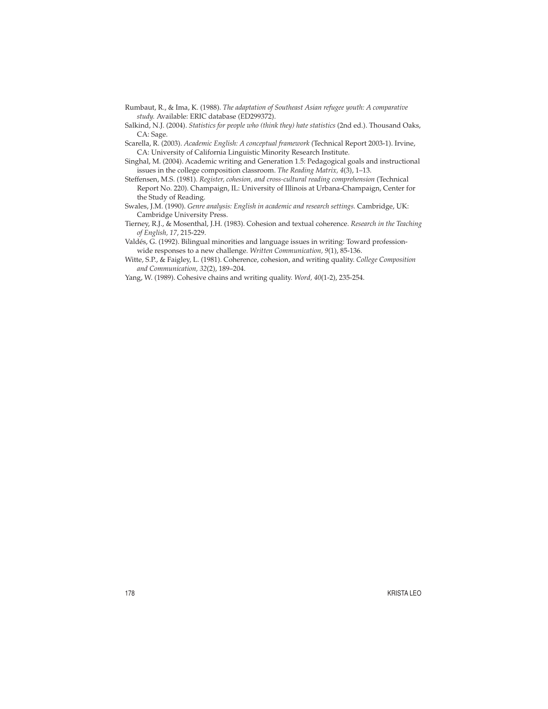Rumbaut, R., & Ima, K. (1988). *The adaptation of Southeast Asian refugee youth: A comparative study.* Available: ERIC database (ED299372).

Salkind, N.J. (2004). *Statistics for people who (think they) hate statistics* (2nd ed.). Thousand Oaks, CA: Sage.

Scarella, R. (2003). *Academic English: A conceptual framework* (Technical Report 2003-1). Irvine, CA: University of California Linguistic Minority Research Institute.

- Singhal, M. (2004). Academic writing and Generation 1.5: Pedagogical goals and instructional issues in the college composition classroom. *The Reading Matrix, 4*(3), 1–13.
- Steffensen, M.S. (1981). *Register, cohesion, and cross-cultural reading comprehension* (Technical Report No. 220). Champaign, IL: University of Illinois at Urbana-Champaign, Center for the Study of Reading.

Swales, J.M. (1990). *Genre analysis: English in academic and research settings.* Cambridge, UK: Cambridge University Press.

Tierney, R.J., & Mosenthal, J.H. (1983). Cohesion and textual coherence. *Research in the Teaching of English, 17*, 215-229.

Valdés, G. (1992). Bilingual minorities and language issues in writing: Toward professionwide responses to a new challenge. *Written Communication, 9*(1), 85-136.

Witte, S.P., & Faigley, L. (1981). Coherence, cohesion, and writing quality. *College Composition and Communication, 32*(2), 189–204.

Yang, W. (1989). Cohesive chains and writing quality. *Word, 40*(1-2), 235-254.